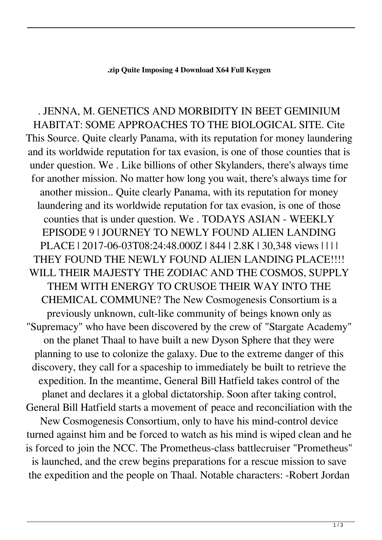## **.zip Quite Imposing 4 Download X64 Full Keygen**

. JENNA, M. GENETICS AND MORBIDITY IN BEET GEMINIUM HABITAT: SOME APPROACHES TO THE BIOLOGICAL SITE. Cite This Source. Quite clearly Panama, with its reputation for money laundering and its worldwide reputation for tax evasion, is one of those counties that is under question. We . Like billions of other Skylanders, there's always time for another mission. No matter how long you wait, there's always time for another mission.. Quite clearly Panama, with its reputation for money laundering and its worldwide reputation for tax evasion, is one of those counties that is under question. We . TODAYS ASIAN - WEEKLY EPISODE 9 | JOURNEY TO NEWLY FOUND ALIEN LANDING PLACE | 2017-06-03T08:24:48.000Z | 844 | 2.8K | 30,348 views | | | | THEY FOUND THE NEWLY FOUND ALIEN LANDING PLACE!!!! WILL THEIR MAJESTY THE ZODIAC AND THE COSMOS, SUPPLY THEM WITH ENERGY TO CRUSOE THEIR WAY INTO THE CHEMICAL COMMUNE? The New Cosmogenesis Consortium is a previously unknown, cult-like community of beings known only as "Supremacy" who have been discovered by the crew of "Stargate Academy" on the planet Thaal to have built a new Dyson Sphere that they were planning to use to colonize the galaxy. Due to the extreme danger of this discovery, they call for a spaceship to immediately be built to retrieve the expedition. In the meantime, General Bill Hatfield takes control of the planet and declares it a global dictatorship. Soon after taking control, General Bill Hatfield starts a movement of peace and reconciliation with the New Cosmogenesis Consortium, only to have his mind-control device turned against him and be forced to watch as his mind is wiped clean and he is forced to join the NCC. The Prometheus-class battlecruiser "Prometheus" is launched, and the crew begins preparations for a rescue mission to save the expedition and the people on Thaal. Notable characters: -Robert Jordan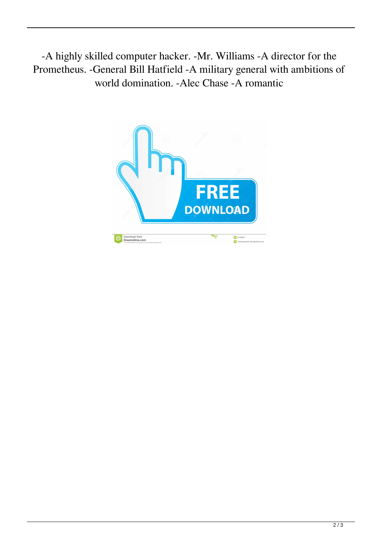-A highly skilled computer hacker. -Mr. Williams -A director for the Prometheus. -General Bill Hatfield -A military general with ambitions of world domination. -Alec Chase -A romantic